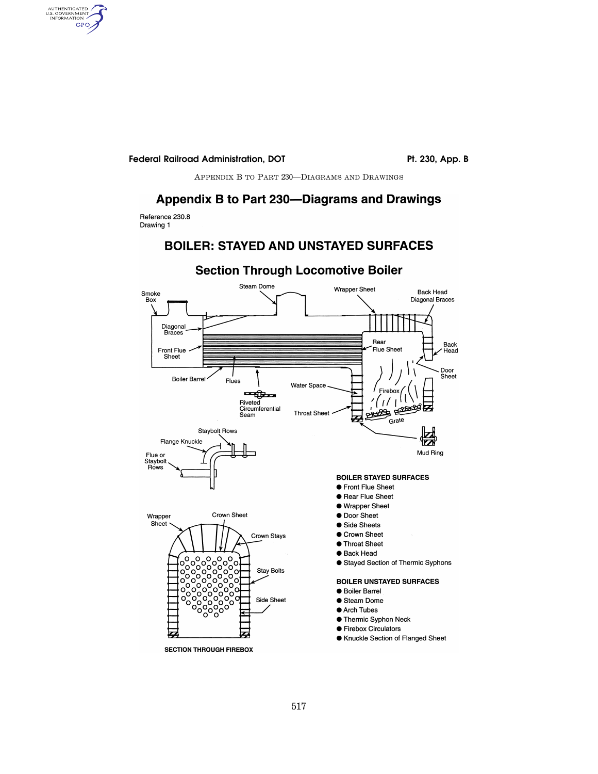Pt. 230, App. B

APPENDIX B TO PART 230-DIAGRAMS AND DRAWINGS

#### Appendix B to Part 230-Diagrams and Drawings

Reference 230.8 Drawing 1

AUTHENTICATED<br>U.S. GOVERNMENT<br>INFORMATION GPO

### **BOILER: STAYED AND UNSTAYED SURFACES**



# **Section Through Locomotive Boiler**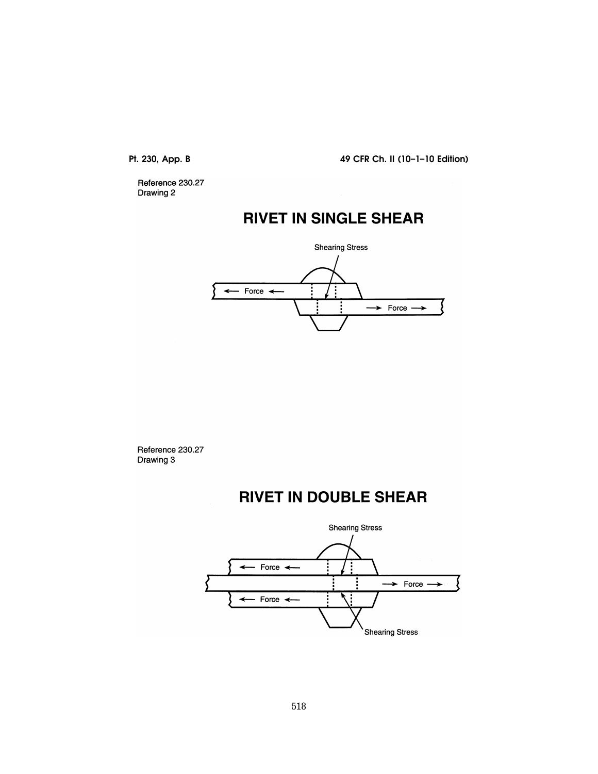Reference 230.27 Drawing 2

# **RIVET IN SINGLE SHEAR**



Reference 230.27 Drawing 3

# **RIVET IN DOUBLE SHEAR**

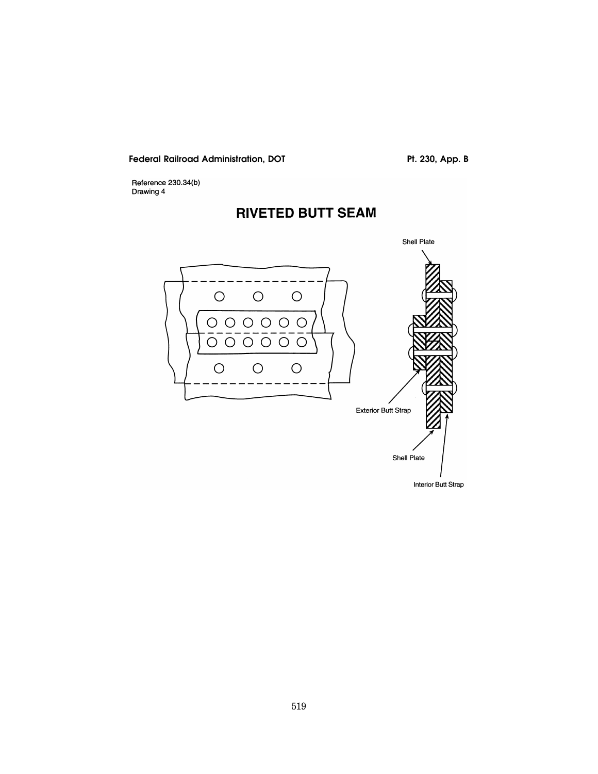Pt. 230, App. B

Reference 230.34(b)<br>Drawing 4

# **RIVETED BUTT SEAM**

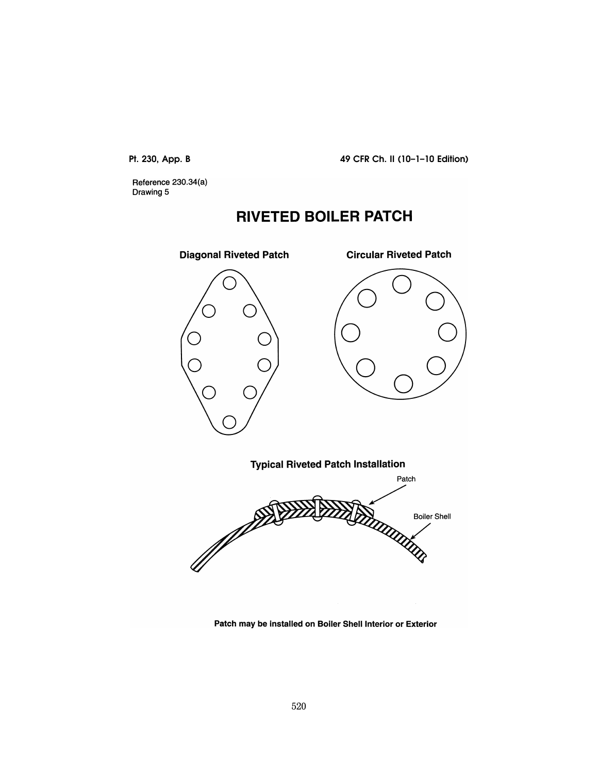Reference 230.34(a) Drawing 5

# **RIVETED BOILER PATCH**



Patch may be installed on Boiler Shell Interior or Exterior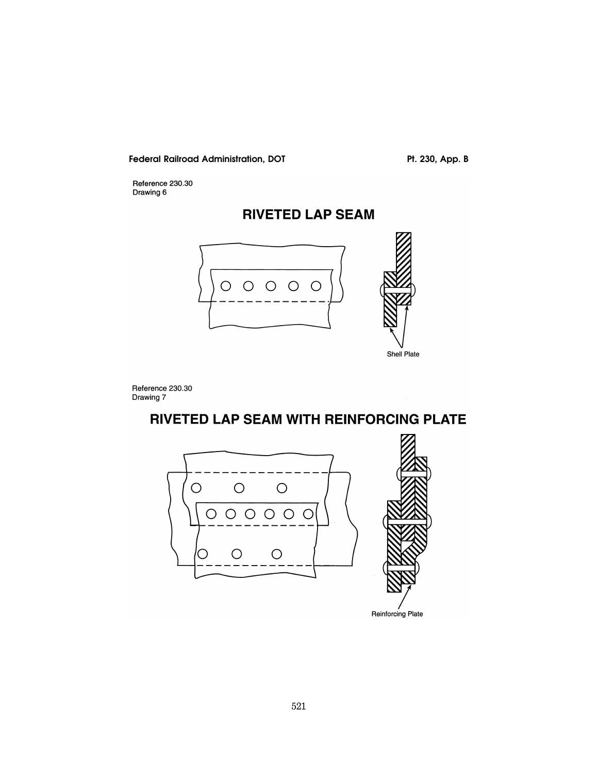Pt. 230, App. B

Reference 230.30<br>Drawing 6

# **RIVETED LAP SEAM**



Reference 230.30<br>Drawing 7

# RIVETED LAP SEAM WITH REINFORCING PLATE



Reinforcing Plate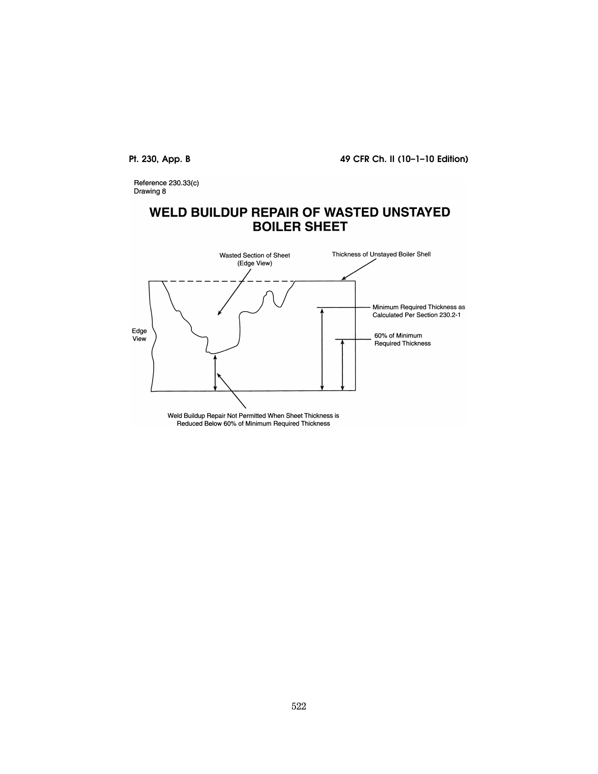Reference 230.33(c) Drawing 8

# **WELD BUILDUP REPAIR OF WASTED UNSTAYED BOILER SHEET**

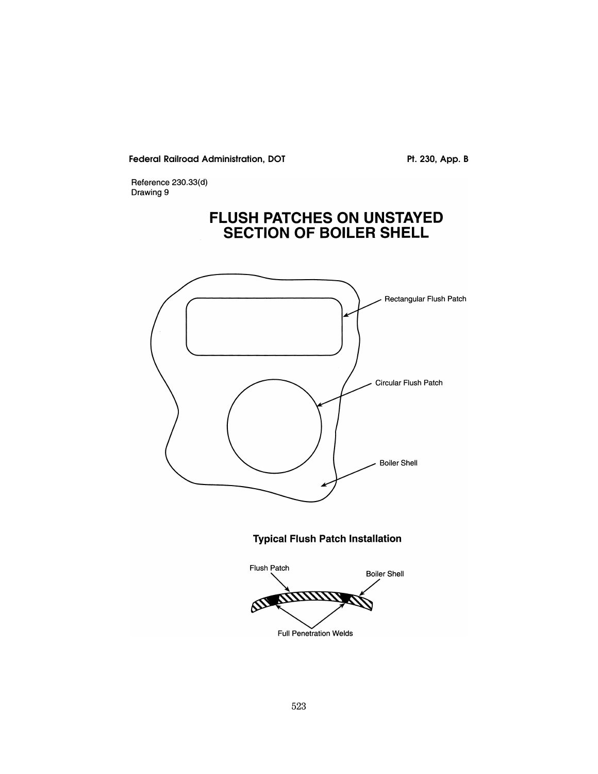Pt. 230, App. B

Reference 230.33(d) Drawing 9

# FLUSH PATCHES ON UNSTAYED<br>SECTION OF BOILER SHELL



**Typical Flush Patch Installation** 

Flush Patch **Boiler Shell**  $\delta\!S\!S$ Full Penetration Welds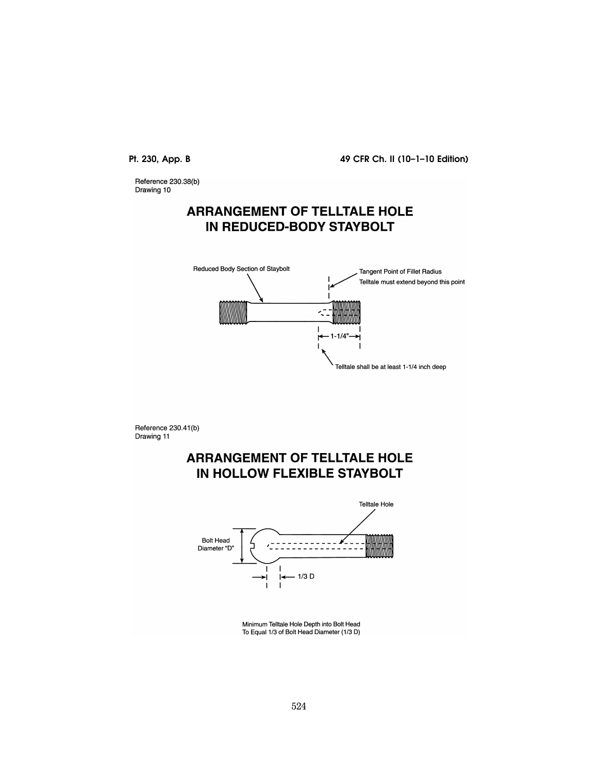Reference 230.38(b) Drawing 10

# **ARRANGEMENT OF TELLTALE HOLE IN REDUCED-BODY STAYBOLT**



Reference 230.41(b) Drawing 11

# **ARRANGEMENT OF TELLTALE HOLE** IN HOLLOW FLEXIBLE STAYBOLT



Minimum Telltale Hole Depth into Bolt Head To Equal 1/3 of Bolt Head Diameter (1/3 D)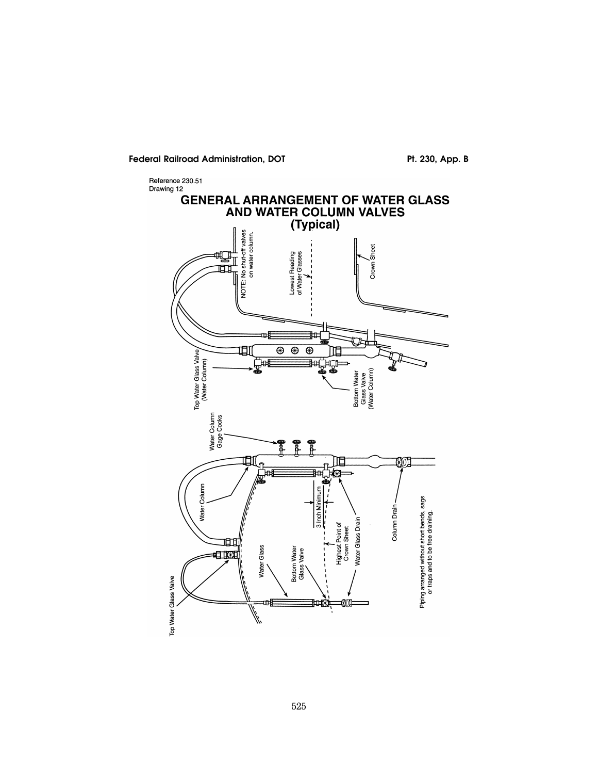Pt. 230, App. B



525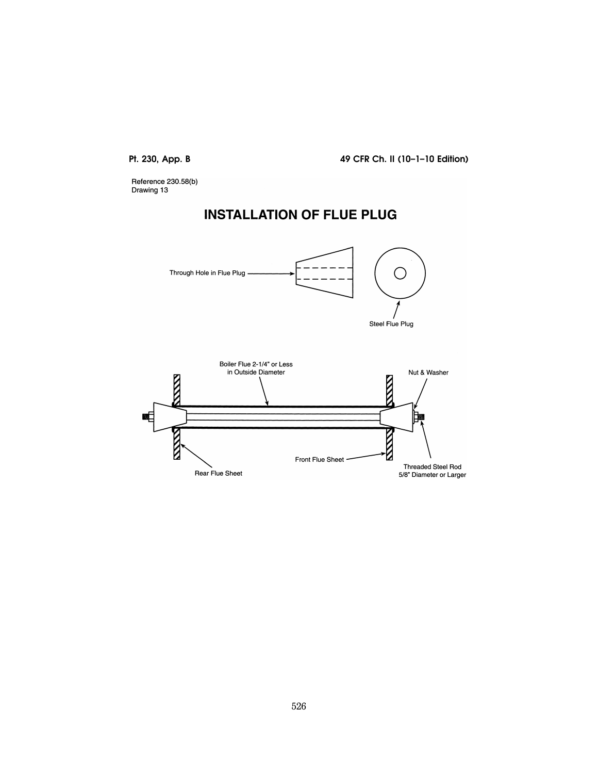Reference 230.58(b)<br>Drawing 13

# **INSTALLATION OF FLUE PLUG**



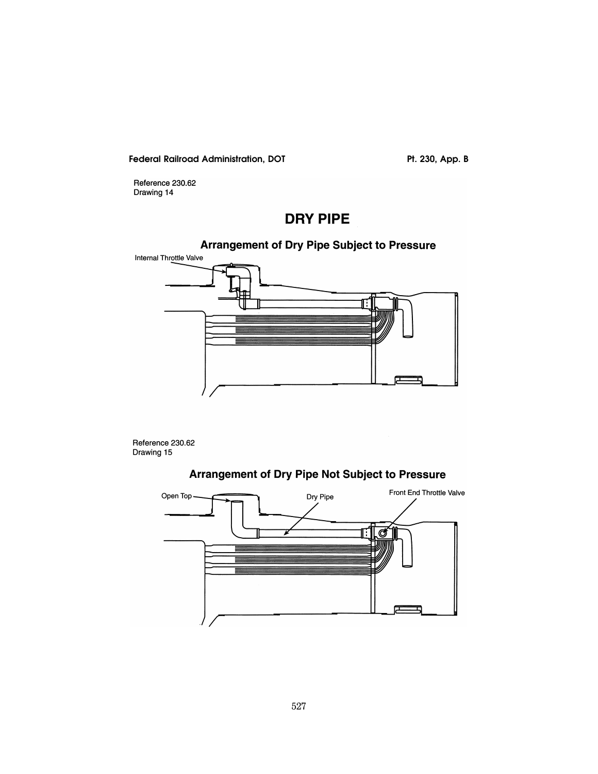Pt. 230, App. B

Reference 230.62 Drawing 14

# **DRY PIPE**

### **Arrangement of Dry Pipe Subject to Pressure**



Reference 230.62 Drawing 15



### Arrangement of Dry Pipe Not Subject to Pressure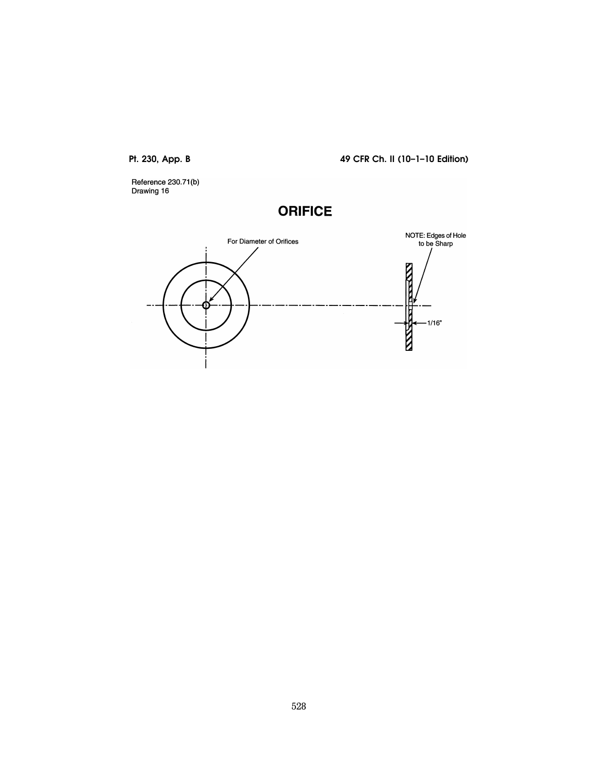Reference 230.71(b)<br>Drawing 16

# **ORIFICE**

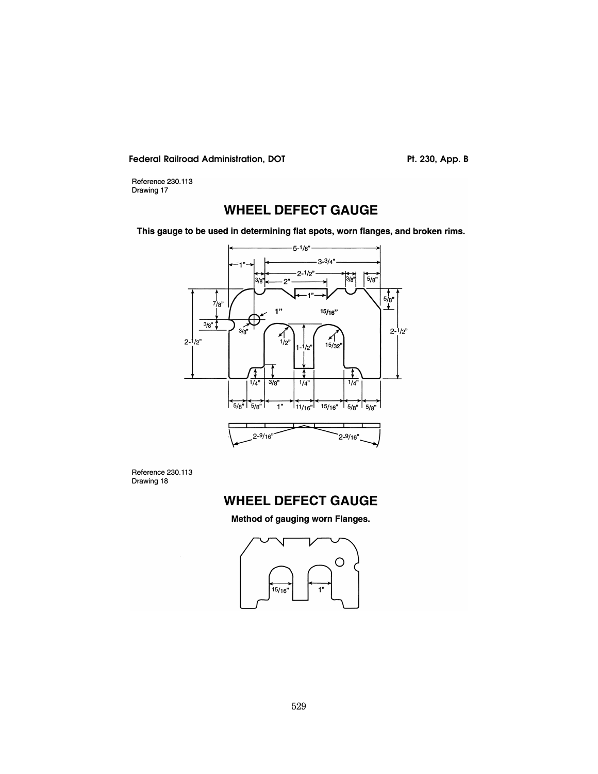Pt. 230, App. B

Reference 230.113<br>Drawing 17

# **WHEEL DEFECT GAUGE**

This gauge to be used in determining flat spots, worn flanges, and broken rims.



Reference 230.113 Drawing 18

# **WHEEL DEFECT GAUGE**

Method of gauging worn Flanges.

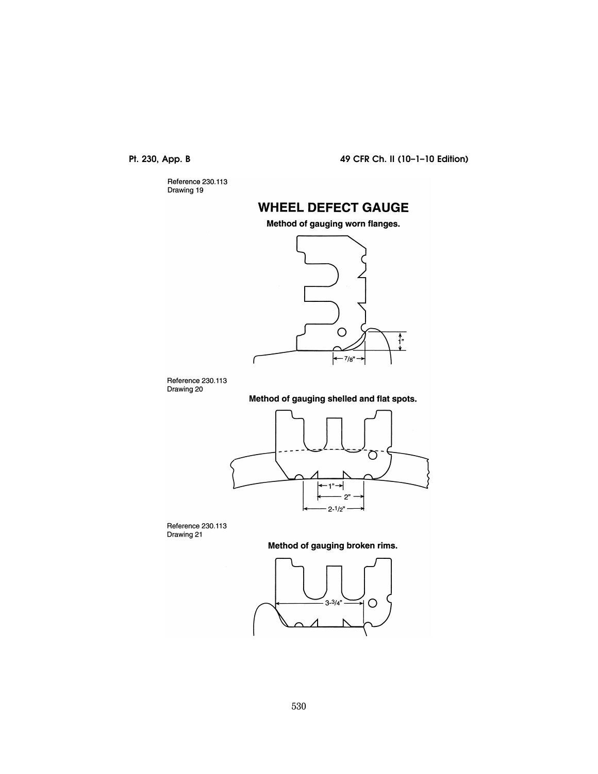Reference 230.113<br>Drawing 19

# **WHEEL DEFECT GAUGE**

Method of gauging worn flanges.



Reference 230.113 Drawing 20

ſ

Method of gauging shelled and flat spots.



Reference 230.113 Drawing 21

Method of gauging broken rims.

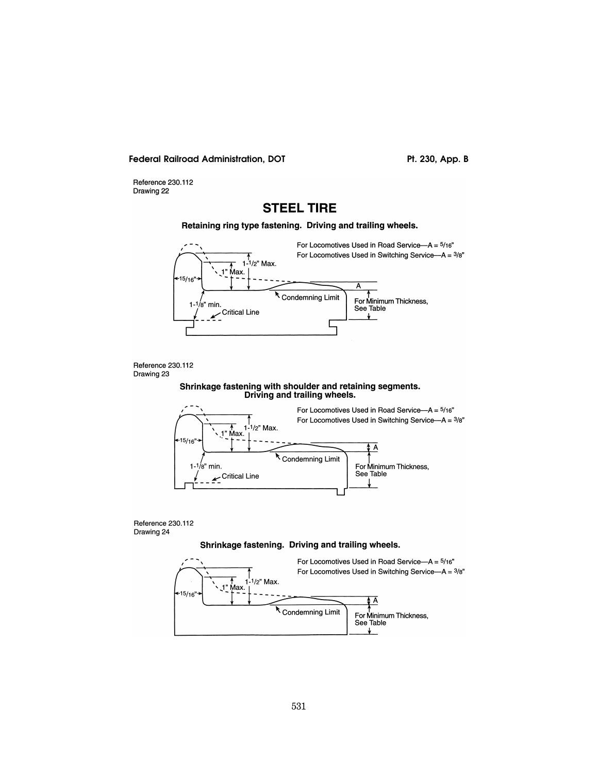Pt. 230, App. B

Reference 230.112 Drawing 22

### **STEEL TIRE**

Retaining ring type fastening. Driving and trailing wheels.





#### Shrinkage fastening with shoulder and retaining segments. Driving and trailing wheels.





#### Shrinkage fastening. Driving and trailing wheels.

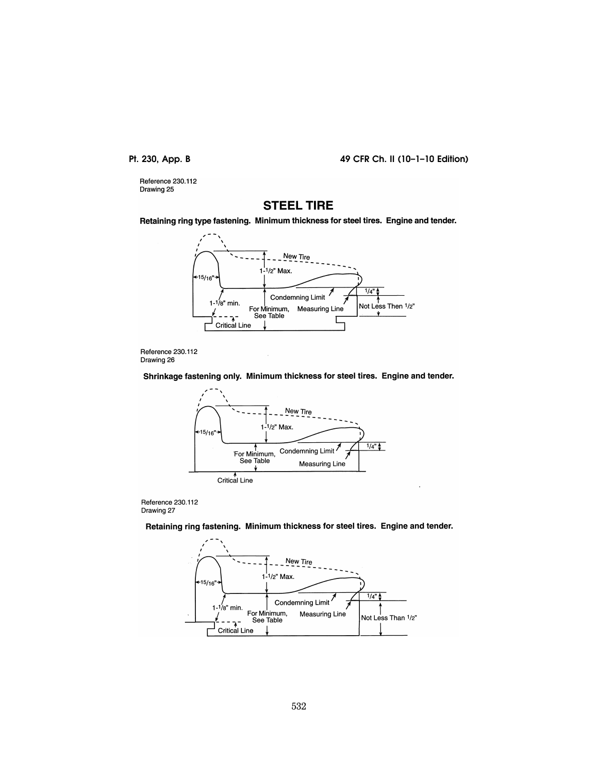Reference 230.112 Drawing 25

### **STEEL TIRE**

Retaining ring type fastening. Minimum thickness for steel tires. Engine and tender.





Shrinkage fastening only. Minimum thickness for steel tires. Engine and tender.



Reference 230.112 Drawing 27

Retaining ring fastening. Minimum thickness for steel tires. Engine and tender.

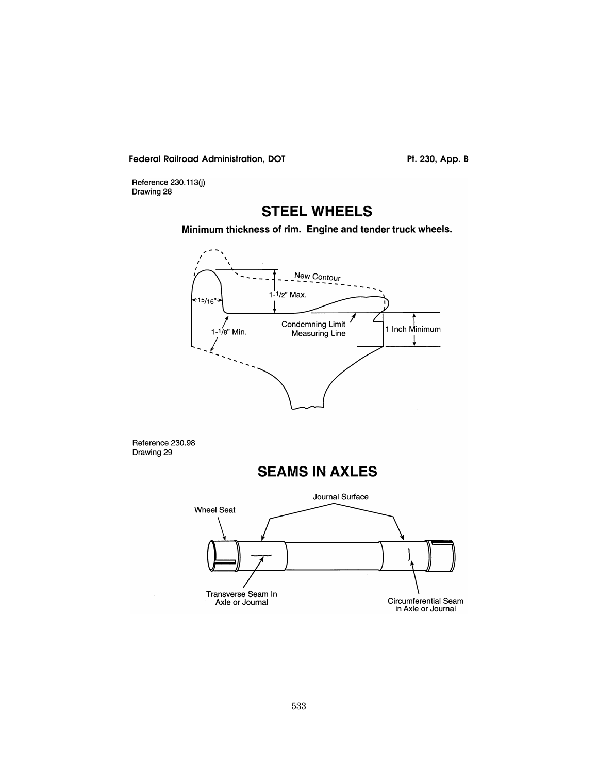Pt. 230, App. B

Reference 230.113(j) Drawing 28

# **STEEL WHEELS**

Minimum thickness of rim. Engine and tender truck wheels.



Reference 230.98 Drawing 29



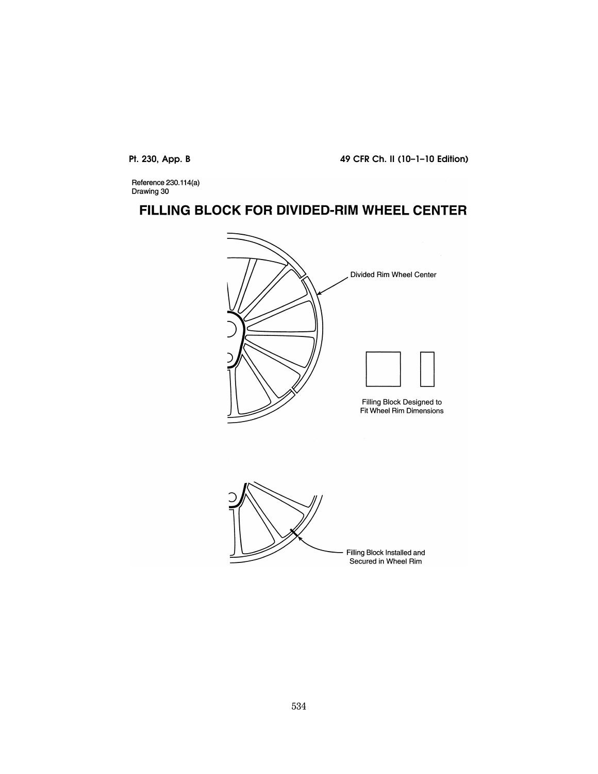Reference 230.114(a)<br>Drawing 30

# FILLING BLOCK FOR DIVIDED-RIM WHEEL CENTER